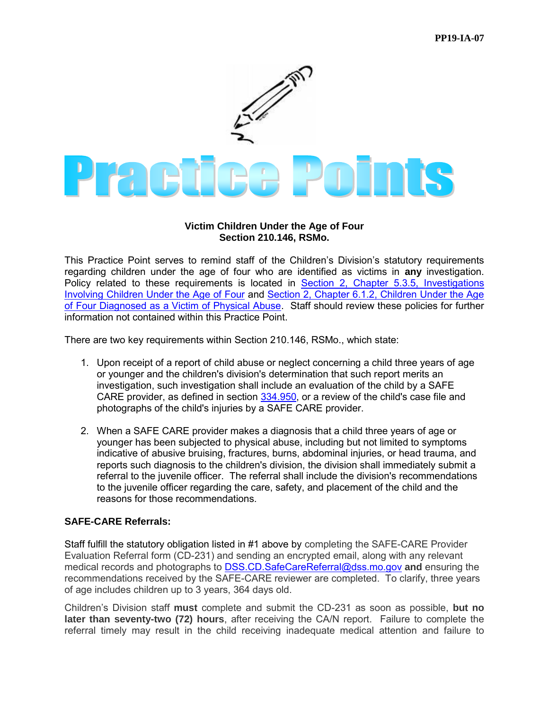

## **Victim Children Under the Age of Four Section 210.146, RSMo.**

This Practice Point serves to remind staff of the Children's Division's statutory requirements regarding children under the age of four who are identified as victims in **any** investigation. Policy related to these requirements is located in [Section 2, Chapter 5.3.5, Investigations](https://dssmanuals.mo.gov/child-welfare-manual/section-2-chapter-5-child-abuse-and-neglect-reports-subsection-3-investigations/)  [Involving Children Under the Age of Four](https://dssmanuals.mo.gov/child-welfare-manual/section-2-chapter-5-child-abuse-and-neglect-reports-subsection-3-investigations/) and [Section 2, Chapter 6.1.2, Children Under the Age](https://dssmanuals.mo.gov/child-welfare-manual/section-2-chapter-6-referrals-to-the-juvenile-court-subsection-1-referral-to-juvenile-court/)  [of Four Diagnosed as a Victim of Physical Abuse.](https://dssmanuals.mo.gov/child-welfare-manual/section-2-chapter-6-referrals-to-the-juvenile-court-subsection-1-referral-to-juvenile-court/) Staff should review these policies for further information not contained within this Practice Point.

There are two key requirements within Section 210.146, RSMo., which state:

- 1. Upon receipt of a report of child abuse or neglect concerning a child three years of age or younger and the children's division's determination that such report merits an investigation, such investigation shall include an evaluation of the child by a SAFE CARE provider, as defined in section [334.950,](http://revisor.mo.gov/main/OneSection.aspx?section=334.950) or a review of the child's case file and photographs of the child's injuries by a SAFE CARE provider.
- 2. When a SAFE CARE provider makes a diagnosis that a child three years of age or younger has been subjected to physical abuse, including but not limited to symptoms indicative of abusive bruising, fractures, burns, abdominal injuries, or head trauma, and reports such diagnosis to the children's division, the division shall immediately submit a referral to the juvenile officer. The referral shall include the division's recommendations to the juvenile officer regarding the care, safety, and placement of the child and the reasons for those recommendations.

## **SAFE-CARE Referrals:**

Staff fulfill the statutory obligation listed in #1 above by completing the SAFE-CARE Provider Evaluation Referral form (CD-231) and sending an encrypted email, along with any relevant medical records and photographs to [DSS.CD.SafeCareReferral@dss.mo.gov](mailto:DSS.CD.SafeCareReferral@dss.mo.gov) **and** ensuring the recommendations received by the SAFE-CARE reviewer are completed. To clarify, three years of age includes children up to 3 years, 364 days old.

Children's Division staff **must** complete and submit the CD-231 as soon as possible, **but no later than seventy-two (72) hours**, after receiving the CA/N report. Failure to complete the referral timely may result in the child receiving inadequate medical attention and failure to